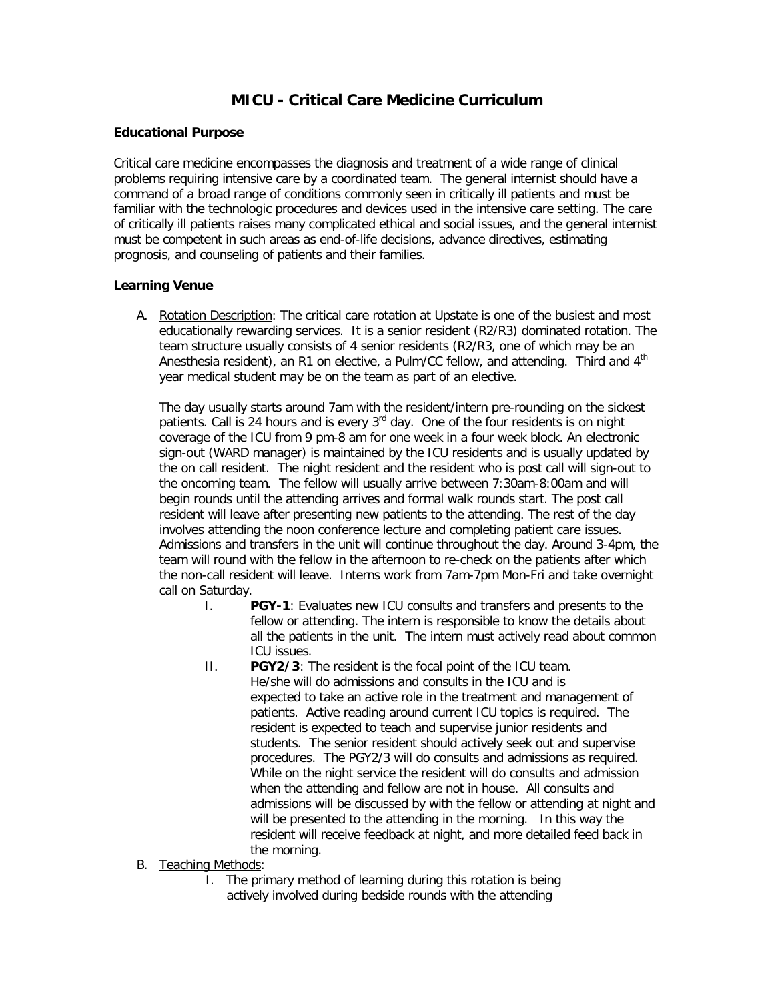# **MICU - Critical Care Medicine Curriculum**

#### **Educational Purpose**

Critical care medicine encompasses the diagnosis and treatment of a wide range of clinical problems requiring intensive care by a coordinated team. The general internist should have a command of a broad range of conditions commonly seen in critically ill patients and must be familiar with the technologic procedures and devices used in the intensive care setting. The care of critically ill patients raises many complicated ethical and social issues, and the general internist must be competent in such areas as end-of-life decisions, advance directives, estimating prognosis, and counseling of patients and their families.

### **Learning Venue**

A. Rotation Description: The critical care rotation at Upstate is one of the busiest and most educationally rewarding services. It is a senior resident (R2/R3) dominated rotation. The team structure usually consists of 4 senior residents (R2/R3, one of which may be an Anesthesia resident), an R1 on elective, a Pulm/CC fellow, and attending. Third and 4<sup>th</sup> year medical student may be on the team as part of an elective.

The day usually starts around 7am with the resident/intern pre-rounding on the sickest patients. Call is 24 hours and is every  $3<sup>rd</sup>$  day. One of the four residents is on night coverage of the ICU from 9 pm-8 am for one week in a four week block. An electronic sign-out (WARD manager) is maintained by the ICU residents and is usually updated by the on call resident. The night resident and the resident who is post call will sign-out to the oncoming team. The fellow will usually arrive between 7:30am-8:00am and will begin rounds until the attending arrives and formal walk rounds start. The post call resident will leave after presenting new patients to the attending. The rest of the day involves attending the noon conference lecture and completing patient care issues. Admissions and transfers in the unit will continue throughout the day. Around 3-4pm, the team will round with the fellow in the afternoon to re-check on the patients after which the non-call resident will leave. Interns work from 7am-7pm Mon-Fri and take overnight call on Saturday.

- I. **PGY-1**: Evaluates new ICU consults and transfers and presents to the fellow or attending. The intern is responsible to know the details about all the patients in the unit. The intern must actively read about common ICU issues.
- II. **PGY2/3**: The resident is the focal point of the ICU team. He/she will do admissions and consults in the ICU and is expected to take an active role in the treatment and management of patients. Active reading around current ICU topics is required. The resident is expected to teach and supervise junior residents and students. The senior resident should actively seek out and supervise procedures. The PGY2/3 will do consults and admissions as required. While on the night service the resident will do consults and admission when the attending and fellow are not in house. All consults and admissions will be discussed by with the fellow or attending at night and will be presented to the attending in the morning. In this way the resident will receive feedback at night, and more detailed feed back in the morning.
- B. Teaching Methods:
	- I. The primary method of learning during this rotation is being actively involved during bedside rounds with the attending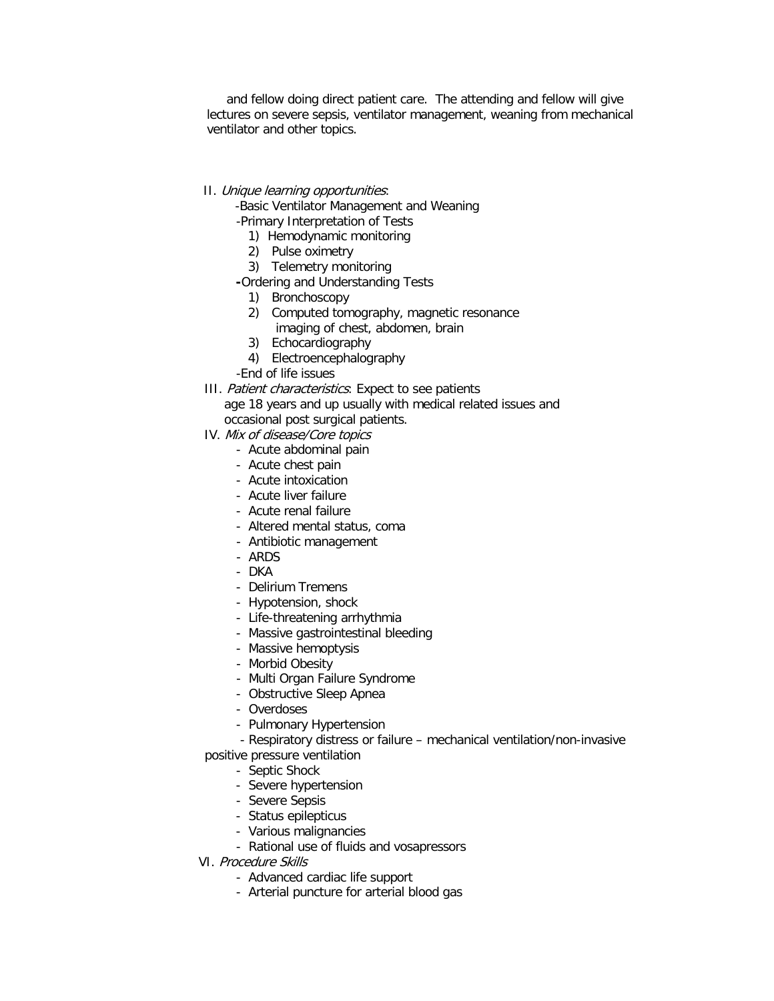and fellow doing direct patient care. The attending and fellow will give lectures on severe sepsis, ventilator management, weaning from mechanical ventilator and other topics.

#### II. Unique learning opportunities:

-Basic Ventilator Management and Weaning

- -Primary Interpretation of Tests
	- 1) Hemodynamic monitoring
	- 2) Pulse oximetry
	- 3) Telemetry monitoring
- **-**Ordering and Understanding Tests
	- 1) Bronchoscopy
	- 2) Computed tomography, magnetic resonance imaging of chest, abdomen, brain
	- 3) Echocardiography
	- 4) Electroencephalography
- -End of life issues
- III. Patient characteristics: Expect to see patients age 18 years and up usually with medical related issues and

occasional post surgical patients.

- IV. Mix of disease/Core topics
	- Acute abdominal pain
	- Acute chest pain
	- Acute intoxication
	- Acute liver failure
	- Acute renal failure
	- Altered mental status, coma
	- Antibiotic management
	- ARDS
	- DKA
	- Delirium Tremens
	- Hypotension, shock
	- Life-threatening arrhythmia
	- Massive gastrointestinal bleeding
	- Massive hemoptysis
	- Morbid Obesity
	- Multi Organ Failure Syndrome
	- Obstructive Sleep Apnea
	- Overdoses
	- Pulmonary Hypertension
	- Respiratory distress or failure mechanical ventilation/non-invasive
- positive pressure ventilation
	- Septic Shock
	- Severe hypertension
	- Severe Sepsis
	- Status epilepticus
	- Various malignancies
	- Rational use of fluids and vosapressors
- VI. Procedure Skills
	- Advanced cardiac life support
	- Arterial puncture for arterial blood gas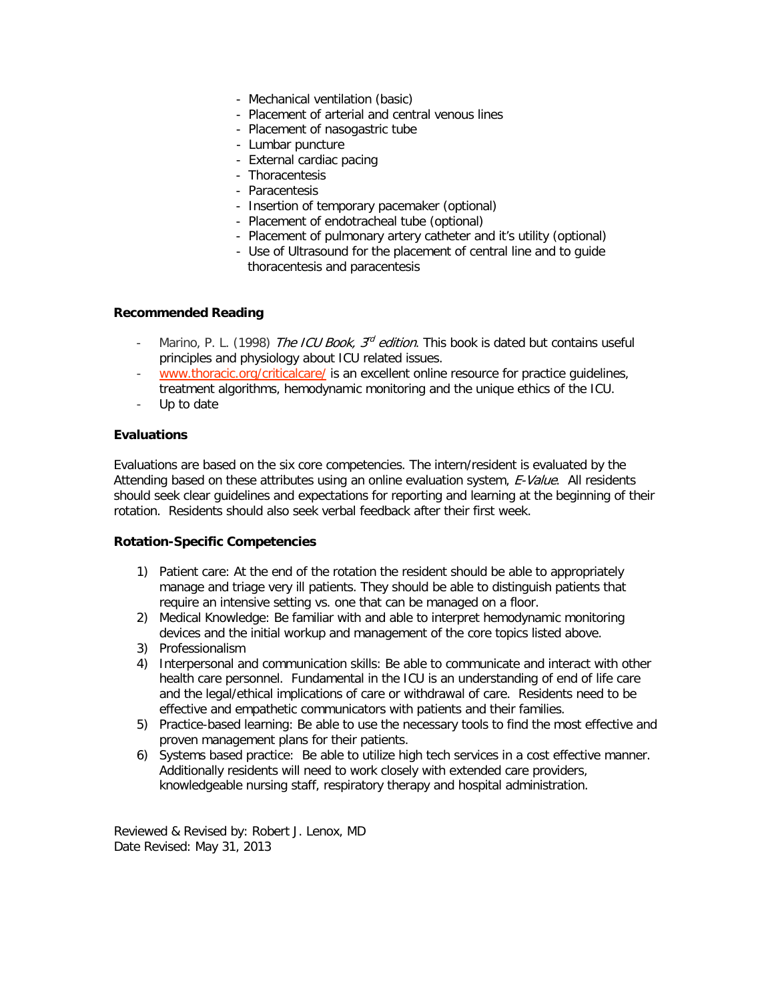- Mechanical ventilation (basic)
- Placement of arterial and central venous lines
- Placement of nasogastric tube
- Lumbar puncture
- External cardiac pacing
- Thoracentesis
- Paracentesis
- Insertion of temporary pacemaker (optional)
- Placement of endotracheal tube (optional)
- Placement of pulmonary artery catheter and it's utility (optional)
- Use of Ultrasound for the placement of central line and to guide thoracentesis and paracentesis

#### **Recommended Reading**

- Marino, P. L. (1998) The ICU Book,  $3^{rd}$  edition. This book is dated but contains useful principles and physiology about ICU related issues.
- [www.thoracic.org/criticalcare/](http://www.thoracic.org/criticalcare/) is an excellent online resource for practice guidelines, treatment algorithms, hemodynamic monitoring and the unique ethics of the ICU.
- Up to date

#### **Evaluations**

Evaluations are based on the six core competencies. The intern/resident is evaluated by the Attending based on these attributes using an online evaluation system, E-Value. All residents should seek clear guidelines and expectations for reporting and learning at the beginning of their rotation. Residents should also seek verbal feedback after their first week.

#### **Rotation-Specific Competencies**

- 1) Patient care: At the end of the rotation the resident should be able to appropriately manage and triage very ill patients. They should be able to distinguish patients that require an intensive setting vs. one that can be managed on a floor.
- 2) Medical Knowledge: Be familiar with and able to interpret hemodynamic monitoring devices and the initial workup and management of the core topics listed above.
- 3) Professionalism
- 4) Interpersonal and communication skills: Be able to communicate and interact with other health care personnel. Fundamental in the ICU is an understanding of end of life care and the legal/ethical implications of care or withdrawal of care. Residents need to be effective and empathetic communicators with patients and their families.
- 5) Practice-based learning: Be able to use the necessary tools to find the most effective and proven management plans for their patients.
- 6) Systems based practice: Be able to utilize high tech services in a cost effective manner. Additionally residents will need to work closely with extended care providers, knowledgeable nursing staff, respiratory therapy and hospital administration.

Reviewed & Revised by: Robert J. Lenox, MD Date Revised: May 31, 2013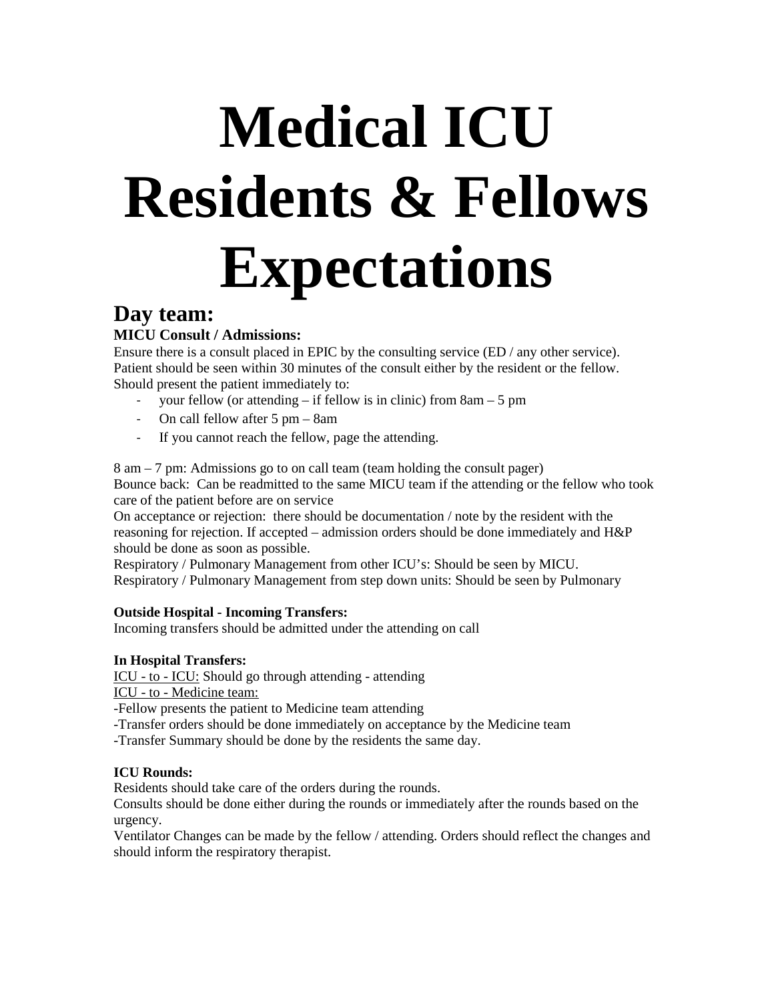# **Medical ICU Residents & Fellows Expectations**

# **Day team:**

# **MICU Consult / Admissions:**

Ensure there is a consult placed in EPIC by the consulting service (ED / any other service). Patient should be seen within 30 minutes of the consult either by the resident or the fellow. Should present the patient immediately to:

- your fellow (or attending  $-$  if fellow is in clinic) from  $8am 5$  pm
- On call fellow after 5 pm 8am
- If you cannot reach the fellow, page the attending.

8 am – 7 pm: Admissions go to on call team (team holding the consult pager) Bounce back: Can be readmitted to the same MICU team if the attending or the fellow who took care of the patient before are on service

On acceptance or rejection: there should be documentation / note by the resident with the reasoning for rejection. If accepted – admission orders should be done immediately and H&P should be done as soon as possible.

Respiratory / Pulmonary Management from other ICU's: Should be seen by MICU. Respiratory / Pulmonary Management from step down units: Should be seen by Pulmonary

# **Outside Hospital - Incoming Transfers:**

Incoming transfers should be admitted under the attending on call

# **In Hospital Transfers:**

ICU - to - ICU: Should go through attending - attending

ICU - to - Medicine team:

-Fellow presents the patient to Medicine team attending

-Transfer orders should be done immediately on acceptance by the Medicine team

-Transfer Summary should be done by the residents the same day.

# **ICU Rounds:**

Residents should take care of the orders during the rounds.

Consults should be done either during the rounds or immediately after the rounds based on the urgency.

Ventilator Changes can be made by the fellow / attending. Orders should reflect the changes and should inform the respiratory therapist.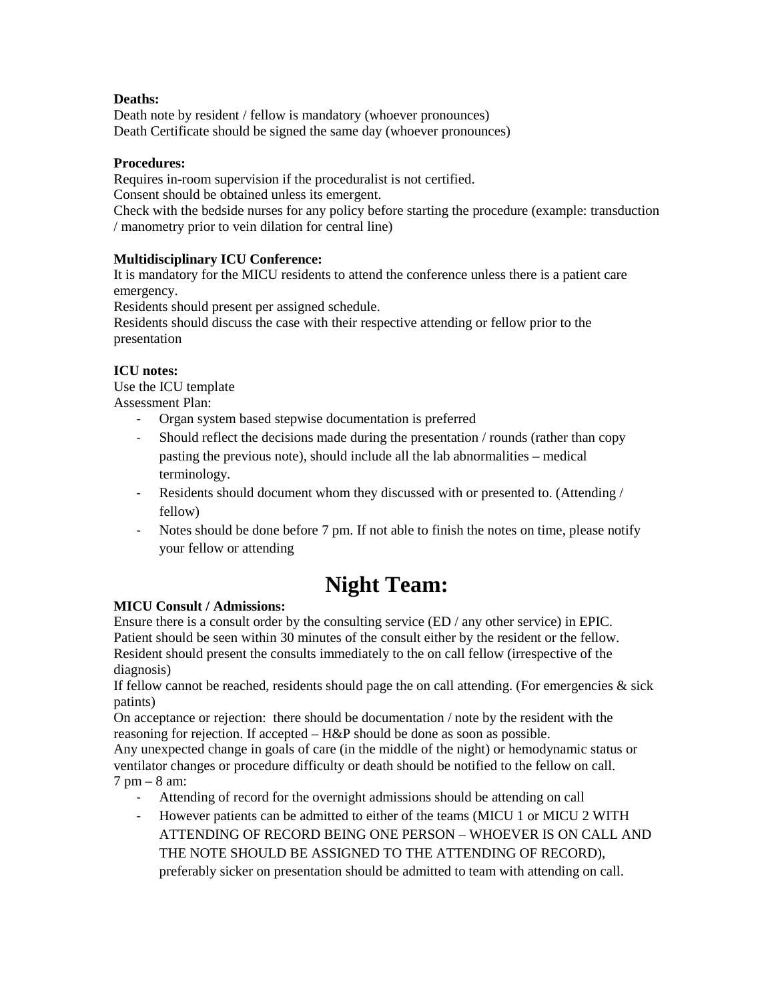# **Deaths:**

Death note by resident / fellow is mandatory (whoever pronounces) Death Certificate should be signed the same day (whoever pronounces)

## **Procedures:**

Requires in-room supervision if the proceduralist is not certified.

Consent should be obtained unless its emergent.

Check with the bedside nurses for any policy before starting the procedure (example: transduction / manometry prior to vein dilation for central line)

# **Multidisciplinary ICU Conference:**

It is mandatory for the MICU residents to attend the conference unless there is a patient care emergency.

Residents should present per assigned schedule.

Residents should discuss the case with their respective attending or fellow prior to the presentation

# **ICU notes:**

Use the ICU template Assessment Plan:

- Organ system based stepwise documentation is preferred
- Should reflect the decisions made during the presentation / rounds (rather than copy pasting the previous note), should include all the lab abnormalities – medical terminology.
- Residents should document whom they discussed with or presented to. (Attending / fellow)
- Notes should be done before 7 pm. If not able to finish the notes on time, please notify your fellow or attending

# **Night Team:**

# **MICU Consult / Admissions:**

Ensure there is a consult order by the consulting service (ED / any other service) in EPIC. Patient should be seen within 30 minutes of the consult either by the resident or the fellow. Resident should present the consults immediately to the on call fellow (irrespective of the diagnosis)

If fellow cannot be reached, residents should page the on call attending. (For emergencies  $\&$  sick patints)

On acceptance or rejection: there should be documentation / note by the resident with the reasoning for rejection. If accepted – H&P should be done as soon as possible.

Any unexpected change in goals of care (in the middle of the night) or hemodynamic status or ventilator changes or procedure difficulty or death should be notified to the fellow on call.

## 7 pm – 8 am:

- Attending of record for the overnight admissions should be attending on call
- However patients can be admitted to either of the teams (MICU 1 or MICU 2 WITH ATTENDING OF RECORD BEING ONE PERSON – WHOEVER IS ON CALL AND THE NOTE SHOULD BE ASSIGNED TO THE ATTENDING OF RECORD), preferably sicker on presentation should be admitted to team with attending on call.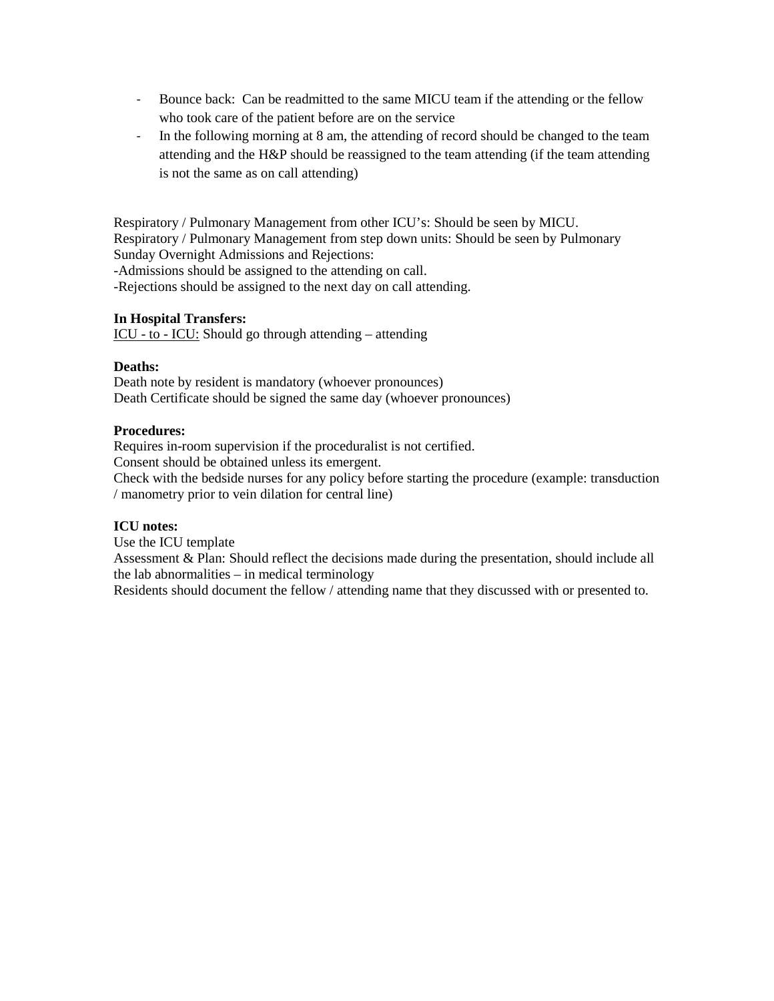- Bounce back: Can be readmitted to the same MICU team if the attending or the fellow who took care of the patient before are on the service
- In the following morning at 8 am, the attending of record should be changed to the team attending and the H&P should be reassigned to the team attending (if the team attending is not the same as on call attending)

Respiratory / Pulmonary Management from other ICU's: Should be seen by MICU. Respiratory / Pulmonary Management from step down units: Should be seen by Pulmonary Sunday Overnight Admissions and Rejections: -Admissions should be assigned to the attending on call.

-Rejections should be assigned to the next day on call attending.

#### **In Hospital Transfers:**

ICU - to - ICU: Should go through attending – attending

#### **Deaths:**

Death note by resident is mandatory (whoever pronounces) Death Certificate should be signed the same day (whoever pronounces)

#### **Procedures:**

Requires in-room supervision if the proceduralist is not certified.

Consent should be obtained unless its emergent.

Check with the bedside nurses for any policy before starting the procedure (example: transduction / manometry prior to vein dilation for central line)

#### **ICU notes:**

Use the ICU template

Assessment & Plan: Should reflect the decisions made during the presentation, should include all the lab abnormalities – in medical terminology

Residents should document the fellow / attending name that they discussed with or presented to.